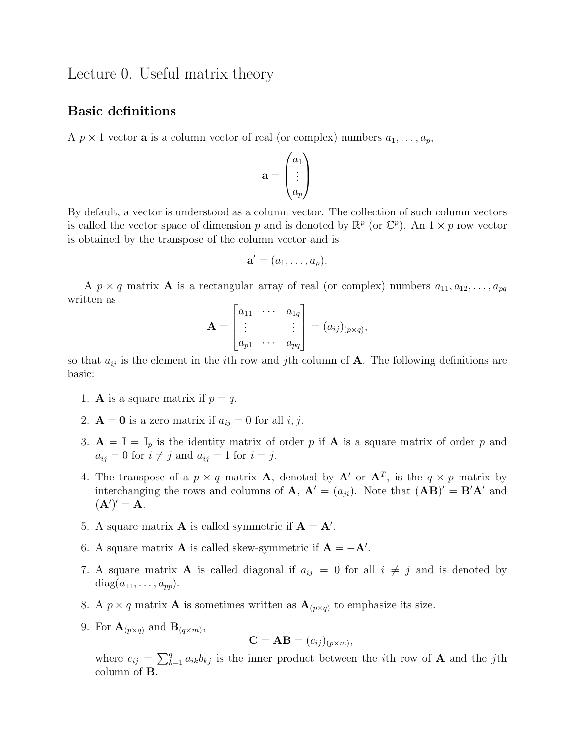# Lecture 0. Useful matrix theory

### Basic definitions

A  $p \times 1$  vector **a** is a column vector of real (or complex) numbers  $a_1, \ldots, a_p$ ,

$$
\mathbf{a} = \begin{pmatrix} a_1 \\ \vdots \\ a_p \end{pmatrix}
$$

By default, a vector is understood as a column vector. The collection of such column vectors is called the vector space of dimension p and is denoted by  $\mathbb{R}^p$  (or  $\mathbb{C}^p$ ). An  $1 \times p$  row vector is obtained by the transpose of the column vector and is

$$
\mathbf{a}'=(a_1,\ldots,a_p).
$$

A  $p \times q$  matrix **A** is a rectangular array of real (or complex) numbers  $a_{11}, a_{12}, \ldots, a_{pq}$ written as

$$
\mathbf{A} = \begin{bmatrix} a_{11} & \cdots & a_{1q} \\ \vdots & & \vdots \\ a_{p1} & \cdots & a_{pq} \end{bmatrix} = (a_{ij})_{(p \times q)},
$$

so that  $a_{ij}$  is the element in the *i*th row and *j*th column of **A**. The following definitions are basic:

- 1. **A** is a square matrix if  $p = q$ .
- 2.  $\mathbf{A} = \mathbf{0}$  is a zero matrix if  $a_{ij} = 0$  for all i, j.
- 3.  $\mathbf{A} = \mathbb{I} = \mathbb{I}_p$  is the identity matrix of order p if **A** is a square matrix of order p and  $a_{ij} = 0$  for  $i \neq j$  and  $a_{ij} = 1$  for  $i = j$ .
- 4. The transpose of a  $p \times q$  matrix **A**, denoted by **A'** or  $\mathbf{A}^T$ , is the  $q \times p$  matrix by interchanging the rows and columns of **A**,  $\mathbf{A}' = (a_{ji})$ . Note that  $(\mathbf{A}\mathbf{B})' = \mathbf{B}'\mathbf{A}'$  and  $({\bf A}')' = {\bf A}.$
- 5. A square matrix **A** is called symmetric if  $A = A'$ .
- 6. A square matrix **A** is called skew-symmetric if  $A = -A'$ .
- 7. A square matrix **A** is called diagonal if  $a_{ij} = 0$  for all  $i \neq j$  and is denoted by  $diag(a_{11}, \ldots, a_{pp}).$
- 8. A  $p \times q$  matrix **A** is sometimes written as  $\mathbf{A}_{(p \times q)}$  to emphasize its size.
- 9. For  $\mathbf{A}_{(p \times q)}$  and  $\mathbf{B}_{(q \times m)}$ ,

$$
\mathbf{C} = \mathbf{AB} = (c_{ij})_{(p \times m)},
$$

where  $c_{ij} = \sum_{k=1}^{q} a_{ik}b_{kj}$  is the inner product between the *i*th row of **A** and the *j*th column of B.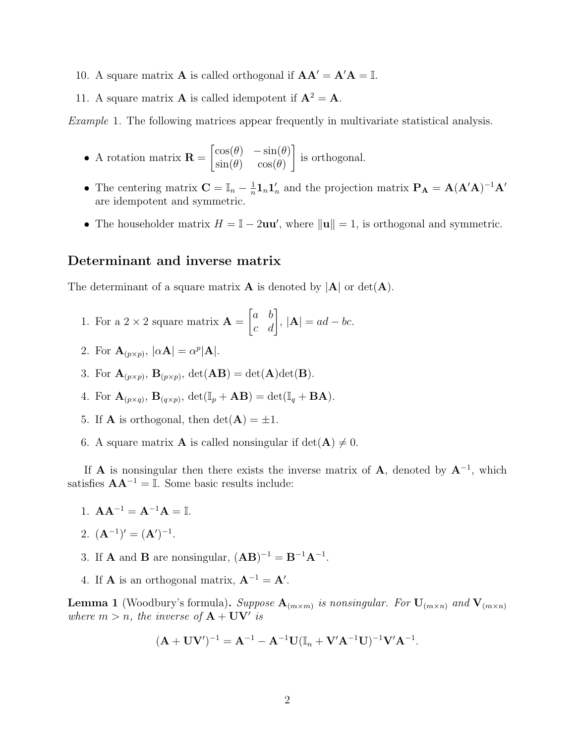- 10. A square matrix **A** is called orthogonal if  $AA' = A'A = \mathbb{I}$ .
- 11. A square matrix **A** is called idempotent if  $A^2 = A$ .

Example 1. The following matrices appear frequently in multivariate statistical analysis.

- A rotation matrix  $\mathbf{R} =$  $\begin{bmatrix} \cos(\theta) & -\sin(\theta) \end{bmatrix}$  $\sin(\theta) \quad \cos(\theta)$ 1 is orthogonal.
- The centering matrix  $\mathbf{C} = \mathbb{I}_n \frac{1}{n}$  $\frac{1}{n} \mathbf{1}_n \mathbf{1}'_n$  and the projection matrix  $\mathbf{P}_\mathbf{A} = \mathbf{A} (\mathbf{A}' \mathbf{A})^{-1} \mathbf{A}'$ are idempotent and symmetric.
- The householder matrix  $H = \mathbb{I} 2uu'$ , where  $\|\mathbf{u}\| = 1$ , is orthogonal and symmetric.

#### Determinant and inverse matrix

The determinant of a square matrix **A** is denoted by  $|A|$  or  $det(A)$ .

- 1. For a  $2 \times 2$  square matrix  $\mathbf{A} =$  $\begin{bmatrix} a & b \\ c & d \end{bmatrix}$ ,  $|\mathbf{A}| = ad - bc.$
- 2. For  $\mathbf{A}_{(p \times p)}$ ,  $|\alpha \mathbf{A}| = \alpha^p |\mathbf{A}|$ .
- 3. For  $\mathbf{A}_{(p \times p)}$ ,  $\mathbf{B}_{(p \times p)}$ ,  $\det(\mathbf{AB}) = \det(\mathbf{A})\det(\mathbf{B})$ .
- 4. For  $\mathbf{A}_{(p \times q)}$ ,  $\mathbf{B}_{(q \times p)}$ ,  $\det(\mathbb{I}_p + \mathbf{AB}) = \det(\mathbb{I}_q + \mathbf{BA})$ .
- 5. If **A** is orthogonal, then  $det(\mathbf{A}) = \pm 1$ .
- 6. A square matrix **A** is called nonsingular if  $det(\mathbf{A}) \neq 0$ .

If **A** is nonsingular then there exists the inverse matrix of **A**, denoted by  $A^{-1}$ , which satisfies  $AA^{-1} = \mathbb{I}$ . Some basic results include:

1.  $AA^{-1} = A^{-1}A = I$ .

2. 
$$
(A^{-1})' = (A')^{-1}
$$
.

- 3. If **A** and **B** are nonsingular,  $(AB)^{-1} = B^{-1}A^{-1}$ .
- 4. If **A** is an orthogonal matrix,  $A^{-1} = A'$ .

**Lemma 1** (Woodbury's formula). Suppose  $A_{(m \times m)}$  is nonsingular. For  $U_{(m \times n)}$  and  $V_{(m \times n)}$ where  $m > n$ , the inverse of  $A + UV'$  is

$$
(\mathbf{A} + \mathbf{U}\mathbf{V}')^{-1} = \mathbf{A}^{-1} - \mathbf{A}^{-1}\mathbf{U}(\mathbb{I}_n + \mathbf{V}'\mathbf{A}^{-1}\mathbf{U})^{-1}\mathbf{V}'\mathbf{A}^{-1}.
$$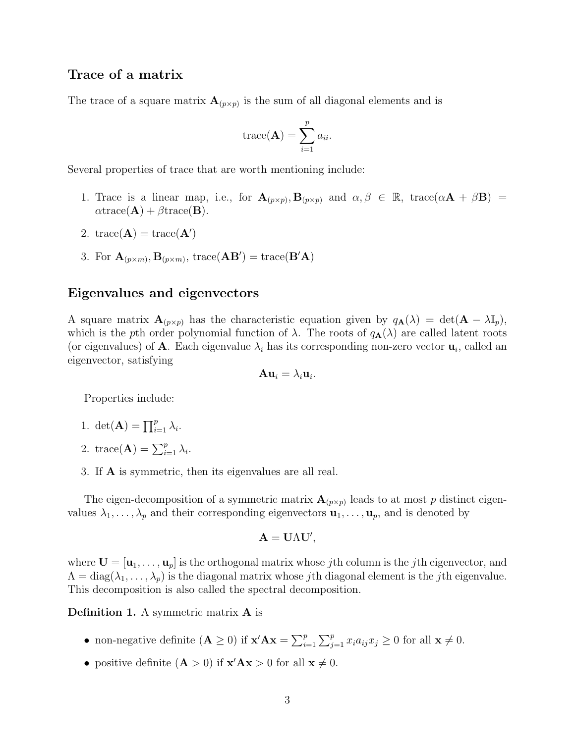## Trace of a matrix

The trace of a square matrix  $\mathbf{A}_{(p \times p)}$  is the sum of all diagonal elements and is

trace(**A**) = 
$$
\sum_{i=1}^{p} a_{ii}
$$
.

Several properties of trace that are worth mentioning include:

- 1. Trace is a linear map, i.e., for  $\mathbf{A}_{(p \times p)}$ ,  $\mathbf{B}_{(p \times p)}$  and  $\alpha, \beta \in \mathbb{R}$ , trace $(\alpha \mathbf{A} + \beta \mathbf{B}) =$  $\alpha$ trace(**A**) +  $\beta$ trace(**B**).
- 2. trace( $\mathbf{A}$ ) = trace( $\mathbf{A}'$ )
- 3. For  $\mathbf{A}_{(p \times m)}$ ,  $\mathbf{B}_{(p \times m)}$ , trace( $\mathbf{A}\mathbf{B}'$ ) = trace( $\mathbf{B}'\mathbf{A}$ )

### Eigenvalues and eigenvectors

A square matrix  $\mathbf{A}_{(p \times p)}$  has the characteristic equation given by  $q_{\mathbf{A}}(\lambda) = \det(\mathbf{A} - \lambda \mathbb{I}_p)$ , which is the pth order polynomial function of  $\lambda$ . The roots of  $q_{\mathbf{A}}(\lambda)$  are called latent roots (or eigenvalues) of **A**. Each eigenvalue  $\lambda_i$  has its corresponding non-zero vector  $\mathbf{u}_i$ , called an eigenvector, satisfying

$$
\mathbf{A}\mathbf{u}_i = \lambda_i \mathbf{u}_i.
$$

Properties include:

- 1. det(**A**) =  $\prod_{i=1}^{p} \lambda_i$ .
- 2. trace(**A**) =  $\sum_{i=1}^{p} \lambda_i$ .
- 3. If A is symmetric, then its eigenvalues are all real.

The eigen-decomposition of a symmetric matrix  $\mathbf{A}_{(p \times p)}$  leads to at most p distinct eigenvalues  $\lambda_1, \ldots, \lambda_p$  and their corresponding eigenvectors  $\mathbf{u}_1, \ldots, \mathbf{u}_p$ , and is denoted by

$$
\mathbf{A}=\mathbf{U}\Lambda\mathbf{U}',
$$

where  $\mathbf{U} = [\mathbf{u}_1, \dots, \mathbf{u}_p]$  is the orthogonal matrix whose jth column is the jth eigenvector, and  $\Lambda = \text{diag}(\lambda_1, \ldots, \lambda_p)$  is the diagonal matrix whose *j*th diagonal element is the *j*th eigenvalue. This decomposition is also called the spectral decomposition.

Definition 1. A symmetric matrix **A** is

- non-negative definite  $(\mathbf{A} \geq 0)$  if  $\mathbf{x}' \mathbf{A} \mathbf{x} = \sum_{i=1}^p \sum_{j=1}^p x_i a_{ij} x_j \geq 0$  for all  $\mathbf{x} \neq 0$ .
- positive definite  $(\mathbf{A} > 0)$  if  $\mathbf{x}' \mathbf{A} \mathbf{x} > 0$  for all  $\mathbf{x} \neq 0$ .